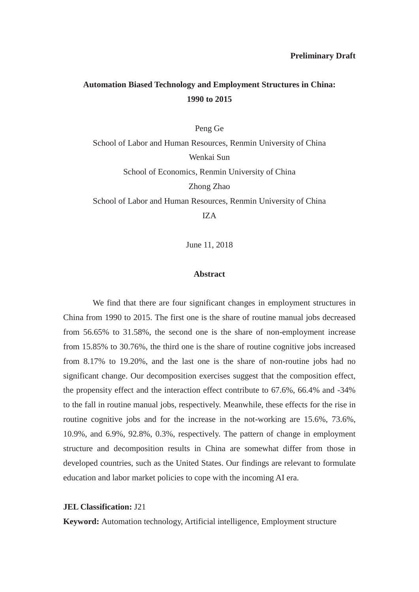### **Automation Biased Technology and Employment Structures in China: 1990 to 2015**

Peng Ge School of Labor and Human Resources, Renmin University of China Wenkai Sun School of Economics, Renmin University of China Zhong Zhao School of Labor and Human Resources, Renmin University of China IZA

June 11, 2018

#### **Abstract**

We find that there are four significant changes in employment structures in China from 1990 to 2015. The first one is the share of routine manual jobs decreased from 56.65% to 31.58%, the second one is the share of non-employment increase from 15.85% to 30.76%, the third one is the share of routine cognitive jobs increased from 8.17% to 19.20%, and the last one is the share of non-routine jobs had no significant change. Our decomposition exercises suggest that the composition effect, the propensity effect and the interaction effect contribute to 67.6%, 66.4% and -34% to the fall in routine manual jobs, respectively. Meanwhile, these effects for the rise in routine cognitive jobs and for the increase in the not-working are 15.6%, 73.6%, 10.9%, and 6.9%, 92.8%, 0.3%, respectively. The pattern of change in employment structure and decomposition results in China are somewhat differ from those in developed countries, such as the United States. Our findings are relevant to formulate education and labor market policies to cope with the incoming AI era.

#### **JEL Classification:** J21

**Keyword:** Automation technology, Artificial intelligence, Employment structure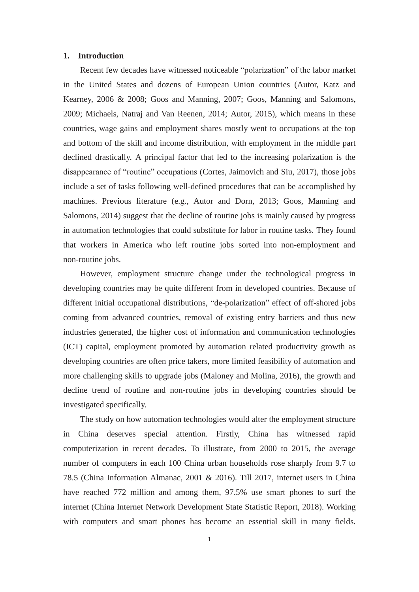#### **1. Introduction**

Recent few decades have witnessed noticeable "polarization" of the labor market in the United States and dozens of European Union countries (Autor, Katz and Kearney, 2006 & 2008; Goos and Manning, 2007; Goos, Manning and Salomons, 2009; Michaels, Natraj and Van Reenen, 2014; Autor, 2015), which means in these countries, wage gains and employment shares mostly went to occupations at the top and bottom of the skill and income distribution, with employment in the middle part declined drastically. A principal factor that led to the increasing polarization is the disappearance of "routine" occupations (Cortes, Jaimovich and Siu, 2017), those jobs include a set of tasks following well-defined procedures that can be accomplished by machines. Previous literature (e.g., Autor and Dorn, 2013; Goos, Manning and Salomons, 2014) suggest that the decline of routine jobs is mainly caused by progress in automation technologies that could substitute for labor in routine tasks. They found that workers in America who left routine jobs sorted into non-employment and non-routine jobs.

However, employment structure change under the technological progress in developing countries may be quite different from in developed countries. Because of different initial occupational distributions, "de-polarization" effect of off-shored jobs coming from advanced countries, removal of existing entry barriers and thus new industries generated, the higher cost of information and communication technologies (ICT) capital, employment promoted by automation related productivity growth as developing countries are often price takers, more limited feasibility of automation and more challenging skills to upgrade jobs (Maloney and Molina, 2016), the growth and decline trend of routine and non-routine jobs in developing countries should be investigated specifically.

The study on how automation technologies would alter the employment structure in China deserves special attention. Firstly, China has witnessed rapid computerization in recent decades. To illustrate, from 2000 to 2015, the average number of computers in each 100 China urban households rose sharply from 9.7 to 78.5 (China Information Almanac, 2001 & 2016). Till 2017, internet users in China have reached 772 million and among them, 97.5% use smart phones to surf the internet (China Internet Network Development State Statistic Report, 2018). Working with computers and smart phones has become an essential skill in many fields.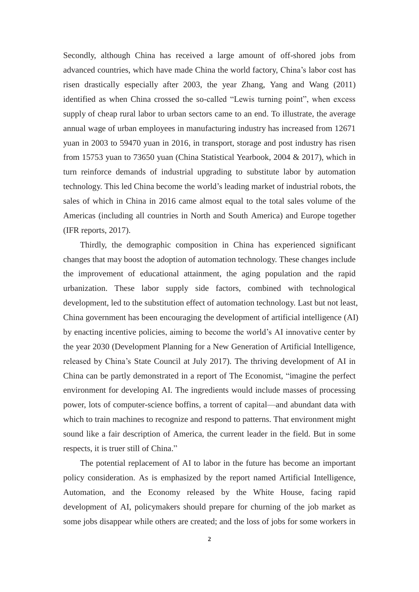Secondly, although China has received a large amount of off-shored jobs from advanced countries, which have made China the world factory, China's labor cost has risen drastically especially after 2003, the year Zhang, Yang and Wang (2011) identified as when China crossed the so-called "Lewis turning point", when excess supply of cheap rural labor to urban sectors came to an end. To illustrate, the average annual wage of urban employees in manufacturing industry has increased from 12671 yuan in 2003 to 59470 yuan in 2016, in transport, storage and post industry has risen from 15753 yuan to 73650 yuan (China Statistical Yearbook, 2004 & 2017), which in turn reinforce demands of industrial upgrading to substitute labor by automation technology. This led China become the world's leading market of industrial robots, the sales of which in China in 2016 came almost equal to the total sales volume of the Americas (including all countries in North and South America) and Europe together (IFR reports, 2017).

Thirdly, the demographic composition in China has experienced significant changes that may boost the adoption of automation technology. These changes include the improvement of educational attainment, the aging population and the rapid urbanization. These labor supply side factors, combined with technological development, led to the substitution effect of automation technology. Last but not least, China government has been encouraging the development of artificial intelligence (AI) by enacting incentive policies, aiming to become the world's AI innovative center by the year 2030 (Development Planning for a New Generation of Artificial Intelligence, released by China's State Council at July 2017). The thriving development of AI in China can be partly demonstrated in a report of The Economist, "imagine the perfect environment for developing AI. The ingredients would include masses of processing power, lots of computer-science boffins, a torrent of capital—and abundant data with which to train machines to recognize and respond to patterns. That environment might sound like a fair description of America, the current leader in the field. But in some respects, it is truer still of China."

The potential replacement of AI to labor in the future has become an important policy consideration. As is emphasized by the report named Artificial Intelligence, Automation, and the Economy released by the White House, facing rapid development of AI, policymakers should prepare for churning of the job market as some jobs disappear while others are created; and the loss of jobs for some workers in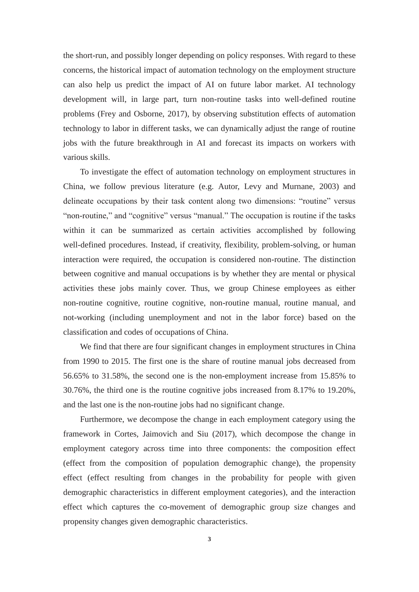the short-run, and possibly longer depending on policy responses. With regard to these concerns, the historical impact of automation technology on the employment structure can also help us predict the impact of AI on future labor market. AI technology development will, in large part, turn non-routine tasks into well-defined routine problems (Frey and Osborne, 2017), by observing substitution effects of automation technology to labor in different tasks, we can dynamically adjust the range of routine jobs with the future breakthrough in AI and forecast its impacts on workers with various skills.

To investigate the effect of automation technology on employment structures in China, we follow previous literature (e.g. Autor, Levy and Murnane, 2003) and delineate occupations by their task content along two dimensions: "routine" versus "non-routine," and "cognitive" versus "manual." The occupation is routine if the tasks within it can be summarized as certain activities accomplished by following well-defined procedures. Instead, if creativity, flexibility, problem-solving, or human interaction were required, the occupation is considered non-routine. The distinction between cognitive and manual occupations is by whether they are mental or physical activities these jobs mainly cover. Thus, we group Chinese employees as either non-routine cognitive, routine cognitive, non-routine manual, routine manual, and not-working (including unemployment and not in the labor force) based on the classification and codes of occupations of China.

We find that there are four significant changes in employment structures in China from 1990 to 2015. The first one is the share of routine manual jobs decreased from 56.65% to 31.58%, the second one is the non-employment increase from 15.85% to 30.76%, the third one is the routine cognitive jobs increased from 8.17% to 19.20%, and the last one is the non-routine jobs had no significant change.

Furthermore, we decompose the change in each employment category using the framework in Cortes, Jaimovich and Siu (2017), which decompose the change in employment category across time into three components: the composition effect (effect from the composition of population demographic change), the propensity effect (effect resulting from changes in the probability for people with given demographic characteristics in different employment categories), and the interaction effect which captures the co-movement of demographic group size changes and propensity changes given demographic characteristics.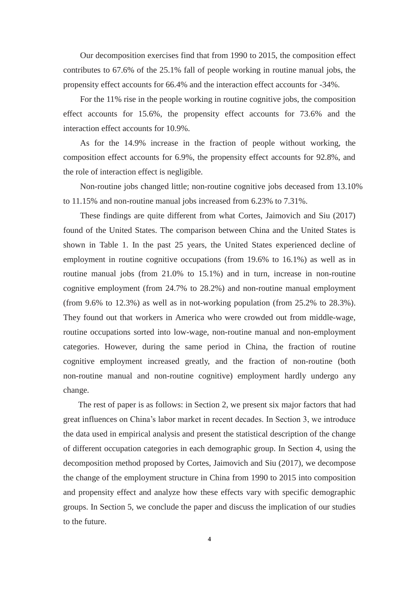Our decomposition exercises find that from 1990 to 2015, the composition effect contributes to 67.6% of the 25.1% fall of people working in routine manual jobs, the propensity effect accounts for 66.4% and the interaction effect accounts for -34%.

For the 11% rise in the people working in routine cognitive jobs, the composition effect accounts for 15.6%, the propensity effect accounts for 73.6% and the interaction effect accounts for 10.9%.

As for the 14.9% increase in the fraction of people without working, the composition effect accounts for 6.9%, the propensity effect accounts for 92.8%, and the role of interaction effect is negligible.

Non-routine jobs changed little; non-routine cognitive jobs deceased from 13.10% to 11.15% and non-routine manual jobs increased from 6.23% to 7.31%.

These findings are quite different from what Cortes, Jaimovich and Siu (2017) found of the United States. The comparison between China and the United States is shown in Table 1. In the past 25 years, the United States experienced decline of employment in routine cognitive occupations (from 19.6% to 16.1%) as well as in routine manual jobs (from 21.0% to 15.1%) and in turn, increase in non-routine cognitive employment (from 24.7% to 28.2%) and non-routine manual employment (from 9.6% to 12.3%) as well as in not-working population (from 25.2% to 28.3%). They found out that workers in America who were crowded out from middle-wage, routine occupations sorted into low-wage, non-routine manual and non-employment categories. However, during the same period in China, the fraction of routine cognitive employment increased greatly, and the fraction of non-routine (both non-routine manual and non-routine cognitive) employment hardly undergo any change.

The rest of paper is as follows: in Section 2, we present six major factors that had great influences on China's labor market in recent decades. In Section 3, we introduce the data used in empirical analysis and present the statistical description of the change of different occupation categories in each demographic group. In Section 4, using the decomposition method proposed by Cortes, Jaimovich and Siu (2017), we decompose the change of the employment structure in China from 1990 to 2015 into composition and propensity effect and analyze how these effects vary with specific demographic groups. In Section 5, we conclude the paper and discuss the implication of our studies to the future.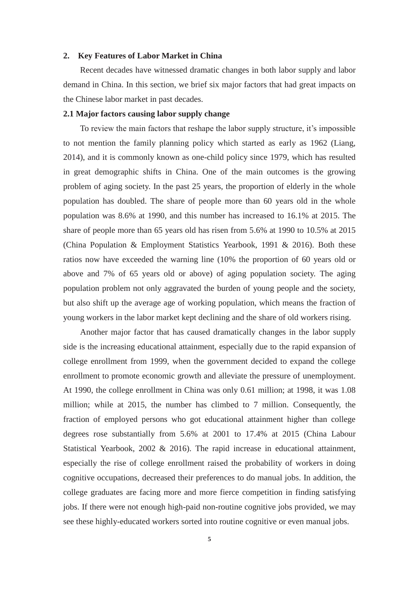#### **2. Key Features of Labor Market in China**

Recent decades have witnessed dramatic changes in both labor supply and labor demand in China. In this section, we brief six major factors that had great impacts on the Chinese labor market in past decades.

#### **2.1 Major factors causing labor supply change**

To review the main factors that reshape the labor supply structure, it's impossible to not mention the family planning policy which started as early as 1962 (Liang, 2014), and it is commonly known as one-child policy since 1979, which has resulted in great demographic shifts in China. One of the main outcomes is the growing problem of aging society. In the past 25 years, the proportion of elderly in the whole population has doubled. The share of people more than 60 years old in the whole population was 8.6% at 1990, and this number has increased to 16.1% at 2015. The share of people more than 65 years old has risen from 5.6% at 1990 to 10.5% at 2015 (China Population & Employment Statistics Yearbook, 1991 & 2016). Both these ratios now have exceeded the warning line (10% the proportion of 60 years old or above and 7% of 65 years old or above) of aging population society. The aging population problem not only aggravated the burden of young people and the society, but also shift up the average age of working population, which means the fraction of young workers in the labor market kept declining and the share of old workers rising.

Another major factor that has caused dramatically changes in the labor supply side is the increasing educational attainment, especially due to the rapid expansion of college enrollment from 1999, when the government decided to expand the college enrollment to promote economic growth and alleviate the pressure of unemployment. At 1990, the college enrollment in China was only 0.61 million; at 1998, it was 1.08 million; while at 2015, the number has climbed to 7 million. Consequently, the fraction of employed persons who got educational attainment higher than college degrees rose substantially from 5.6% at 2001 to 17.4% at 2015 (China Labour Statistical Yearbook, 2002 & 2016). The rapid increase in educational attainment, especially the rise of college enrollment raised the probability of workers in doing cognitive occupations, decreased their preferences to do manual jobs. In addition, the college graduates are facing more and more fierce competition in finding satisfying jobs. If there were not enough high-paid non-routine cognitive jobs provided, we may see these highly-educated workers sorted into routine cognitive or even manual jobs.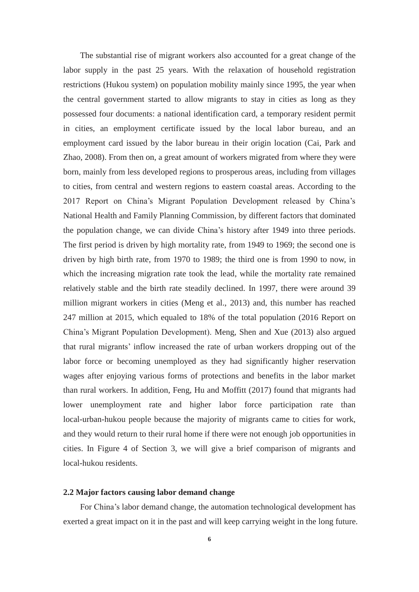The substantial rise of migrant workers also accounted for a great change of the labor supply in the past 25 years. With the relaxation of household registration restrictions (Hukou system) on population mobility mainly since 1995, the year when the central government started to allow migrants to stay in cities as long as they possessed four documents: a national identification card, a temporary resident permit in cities, an employment certificate issued by the local labor bureau, and an employment card issued by the labor bureau in their origin location (Cai, Park and Zhao, 2008). From then on, a great amount of workers migrated from where they were born, mainly from less developed regions to prosperous areas, including from villages to cities, from central and western regions to eastern coastal areas. According to the 2017 Report on China's Migrant Population Development released by China's National Health and Family Planning Commission, by different factors that dominated the population change, we can divide China's history after 1949 into three periods. The first period is driven by high mortality rate, from 1949 to 1969; the second one is driven by high birth rate, from 1970 to 1989; the third one is from 1990 to now, in which the increasing migration rate took the lead, while the mortality rate remained relatively stable and the birth rate steadily declined. In 1997, there were around 39 million migrant workers in cities (Meng et al., 2013) and, this number has reached 247 million at 2015, which equaled to 18% of the total population (2016 Report on China's Migrant Population Development). Meng, Shen and Xue (2013) also argued that rural migrants' inflow increased the rate of urban workers dropping out of the labor force or becoming unemployed as they had significantly higher reservation wages after enjoying various forms of protections and benefits in the labor market than rural workers. In addition, Feng, Hu and Moffitt (2017) found that migrants had lower unemployment rate and higher labor force participation rate than local-urban-hukou people because the majority of migrants came to cities for work, and they would return to their rural home if there were not enough job opportunities in cities. In Figure 4 of Section 3, we will give a brief comparison of migrants and local-hukou residents.

#### **2.2 Major factors causing labor demand change**

For China's labor demand change, the automation technological development has exerted a great impact on it in the past and will keep carrying weight in the long future.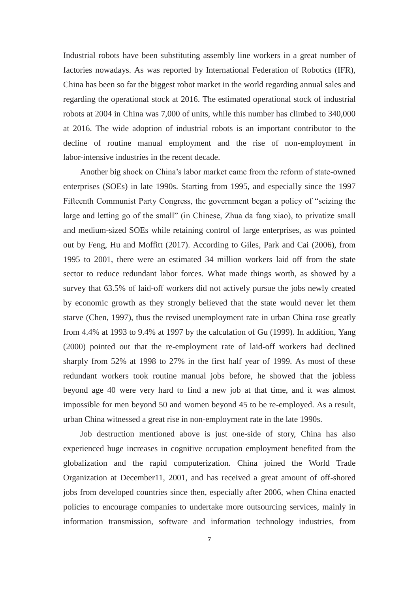Industrial robots have been substituting assembly line workers in a great number of factories nowadays. As was reported by International Federation of Robotics (IFR), China has been so far the biggest robot market in the world regarding annual sales and regarding the operational stock at 2016. The estimated operational stock of industrial robots at 2004 in China was 7,000 of units, while this number has climbed to 340,000 at 2016. The wide adoption of industrial robots is an important contributor to the decline of routine manual employment and the rise of non-employment in labor-intensive industries in the recent decade.

Another big shock on China's labor market came from the reform of state-owned enterprises (SOEs) in late 1990s. Starting from 1995, and especially since the 1997 Fifteenth Communist Party Congress, the government began a policy of "seizing the large and letting go of the small" (in Chinese, Zhua da fang xiao), to privatize small and medium-sized SOEs while retaining control of large enterprises, as was pointed out by Feng, Hu and Moffitt (2017). According to Giles, Park and Cai (2006), from 1995 to 2001, there were an estimated 34 million workers laid off from the state sector to reduce redundant labor forces. What made things worth, as showed by a survey that 63.5% of laid-off workers did not actively pursue the jobs newly created by economic growth as they strongly believed that the state would never let them starve (Chen, 1997), thus the revised unemployment rate in urban China rose greatly from 4.4% at 1993 to 9.4% at 1997 by the calculation of Gu (1999). In addition, Yang (2000) pointed out that the re-employment rate of laid-off workers had declined sharply from 52% at 1998 to 27% in the first half year of 1999. As most of these redundant workers took routine manual jobs before, he showed that the jobless beyond age 40 were very hard to find a new job at that time, and it was almost impossible for men beyond 50 and women beyond 45 to be re-employed. As a result, urban China witnessed a great rise in non-employment rate in the late 1990s.

Job destruction mentioned above is just one-side of story, China has also experienced huge increases in cognitive occupation employment benefited from the globalization and the rapid computerization. China joined the World Trade Organization at December11, 2001, and has received a great amount of off-shored jobs from developed countries since then, especially after 2006, when China enacted policies to encourage companies to undertake more outsourcing services, mainly in information transmission, software and information technology industries, from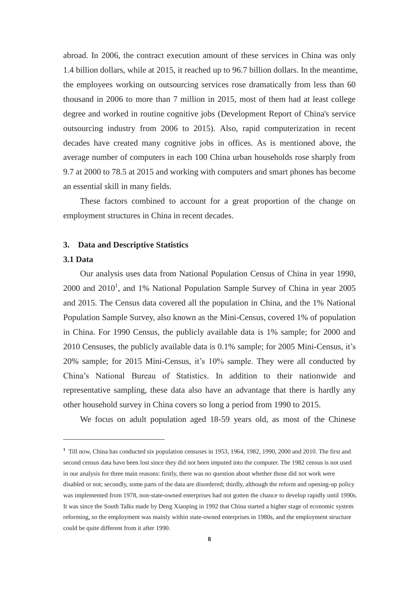abroad. In 2006, the contract execution amount of these services in China was only 1.4 billion dollars, while at 2015, it reached up to 96.7 billion dollars. In the meantime, the employees working on outsourcing services rose dramatically from less than 60 thousand in 2006 to more than 7 million in 2015, most of them had at least college degree and worked in routine cognitive jobs (Development Report of China's service outsourcing industry from 2006 to 2015). Also, rapid computerization in recent decades have created many cognitive jobs in offices. As is mentioned above, the average number of computers in each 100 China urban households rose sharply from 9.7 at 2000 to 78.5 at 2015 and working with computers and smart phones has become an essential skill in many fields.

These factors combined to account for a great proportion of the change on employment structures in China in recent decades.

#### **3. Data and Descriptive Statistics**

### **3.1 Data**

Our analysis uses data from National Population Census of China in year 1990,  $2000$  and  $2010<sup>1</sup>$ , and 1% National Population Sample Survey of China in year  $2005$ and 2015. The Census data covered all the population in China, and the 1% National Population Sample Survey, also known as the Mini-Census, covered 1% of population in China. For 1990 Census, the publicly available data is 1% sample; for 2000 and 2010 Censuses, the publicly available data is 0.1% sample; for 2005 Mini-Census, it's 20% sample; for 2015 Mini-Census, it's 10% sample. They were all conducted by China's National Bureau of Statistics. In addition to their nationwide and representative sampling, these data also have an advantage that there is hardly any other household survey in China covers so long a period from 1990 to 2015.

We focus on adult population aged 18-59 years old, as most of the Chinese

**<sup>1</sup>** Till now, China has conducted six population censuses in 1953, 1964, 1982, 1990, 2000 and 2010. The first and second census data have been lost since they did not been imputed into the computer. The 1982 census is not used in our analysis for three main reasons: firstly, there was no question about whether those did not work were disabled or not; secondly, some parts of the data are disordered; thirdly, although the reform and opening-up policy was implemented from 1978, non-state-owned enterprises had not gotten the chance to develop rapidly until 1990s. It was since the South Talks made by Deng Xiaoping in 1992 that China started a higher stage of economic system reforming, so the employment was mainly within state-owned enterprises in 1980s, and the employment structure could be quite different from it after 1990.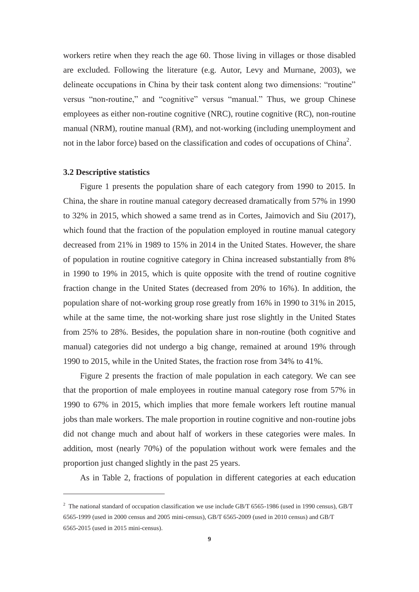workers retire when they reach the age 60. Those living in villages or those disabled are excluded. Following the literature (e.g. Autor, Levy and Murnane, 2003), we delineate occupations in China by their task content along two dimensions: "routine" versus "non-routine," and "cognitive" versus "manual." Thus, we group Chinese employees as either non-routine cognitive (NRC), routine cognitive (RC), non-routine manual (NRM), routine manual (RM), and not-working (including unemployment and not in the labor force) based on the classification and codes of occupations of China<sup>2</sup>.

#### **3.2 Descriptive statistics**

Figure 1 presents the population share of each category from 1990 to 2015. In China, the share in routine manual category decreased dramatically from 57% in 1990 to 32% in 2015, which showed a same trend as in Cortes, Jaimovich and Siu (2017), which found that the fraction of the population employed in routine manual category decreased from 21% in 1989 to 15% in 2014 in the United States. However, the share of population in routine cognitive category in China increased substantially from 8% in 1990 to 19% in 2015, which is quite opposite with the trend of routine cognitive fraction change in the United States (decreased from 20% to 16%). In addition, the population share of not-working group rose greatly from 16% in 1990 to 31% in 2015, while at the same time, the not-working share just rose slightly in the United States from 25% to 28%. Besides, the population share in non-routine (both cognitive and manual) categories did not undergo a big change, remained at around 19% through 1990 to 2015, while in the United States, the fraction rose from 34% to 41%.

Figure 2 presents the fraction of male population in each category. We can see that the proportion of male employees in routine manual category rose from 57% in 1990 to 67% in 2015, which implies that more female workers left routine manual jobs than male workers. The male proportion in routine cognitive and non-routine jobs did not change much and about half of workers in these categories were males. In addition, most (nearly 70%) of the population without work were females and the proportion just changed slightly in the past 25 years.

As in Table 2, fractions of population in different categories at each education

<sup>&</sup>lt;sup>2</sup> The national standard of occupation classification we use include GB/T 6565-1986 (used in 1990 census), GB/T 6565-1999 (used in 2000 census and 2005 mini-census), GB/T 6565-2009 (used in 2010 census) and GB/T 6565-2015 (used in 2015 mini-census).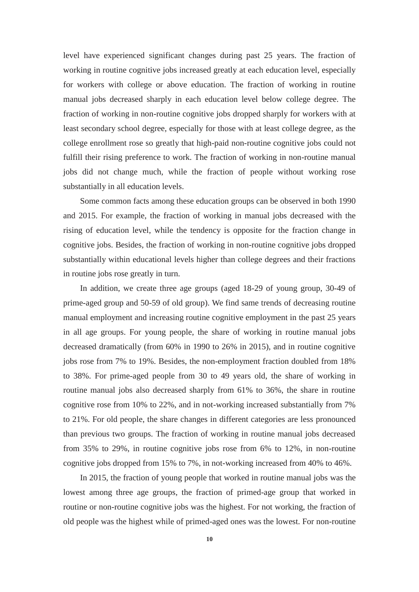level have experienced significant changes during past 25 years. The fraction of working in routine cognitive jobs increased greatly at each education level, especially for workers with college or above education. The fraction of working in routine manual jobs decreased sharply in each education level below college degree. The fraction of working in non-routine cognitive jobs dropped sharply for workers with at least secondary school degree, especially for those with at least college degree, as the college enrollment rose so greatly that high-paid non-routine cognitive jobs could not fulfill their rising preference to work. The fraction of working in non-routine manual jobs did not change much, while the fraction of people without working rose substantially in all education levels.

Some common facts among these education groups can be observed in both 1990 and 2015. For example, the fraction of working in manual jobs decreased with the rising of education level, while the tendency is opposite for the fraction change in cognitive jobs. Besides, the fraction of working in non-routine cognitive jobs dropped substantially within educational levels higher than college degrees and their fractions in routine jobs rose greatly in turn.

In addition, we create three age groups (aged 18-29 of young group, 30-49 of prime-aged group and 50-59 of old group). We find same trends of decreasing routine manual employment and increasing routine cognitive employment in the past 25 years in all age groups. For young people, the share of working in routine manual jobs decreased dramatically (from 60% in 1990 to 26% in 2015), and in routine cognitive jobs rose from 7% to 19%. Besides, the non-employment fraction doubled from 18% to 38%. For prime-aged people from 30 to 49 years old, the share of working in routine manual jobs also decreased sharply from 61% to 36%, the share in routine cognitive rose from 10% to 22%, and in not-working increased substantially from 7% to 21%. For old people, the share changes in different categories are less pronounced than previous two groups. The fraction of working in routine manual jobs decreased from 35% to 29%, in routine cognitive jobs rose from 6% to 12%, in non-routine cognitive jobs dropped from 15% to 7%, in not-working increased from 40% to 46%.

In 2015, the fraction of young people that worked in routine manual jobs was the lowest among three age groups, the fraction of primed-age group that worked in routine or non-routine cognitive jobs was the highest. For not working, the fraction of old people was the highest while of primed-aged ones was the lowest. For non-routine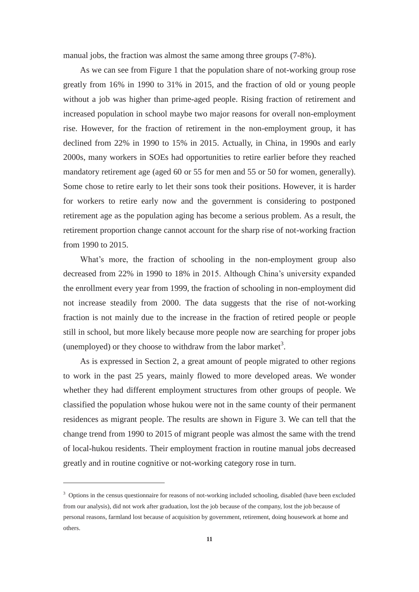manual jobs, the fraction was almost the same among three groups (7-8%).

As we can see from Figure 1 that the population share of not-working group rose greatly from 16% in 1990 to 31% in 2015, and the fraction of old or young people without a job was higher than prime-aged people. Rising fraction of retirement and increased population in school maybe two major reasons for overall non-employment rise. However, for the fraction of retirement in the non-employment group, it has declined from 22% in 1990 to 15% in 2015. Actually, in China, in 1990s and early 2000s, many workers in SOEs had opportunities to retire earlier before they reached mandatory retirement age (aged 60 or 55 for men and 55 or 50 for women, generally). Some chose to retire early to let their sons took their positions. However, it is harder for workers to retire early now and the government is considering to postponed retirement age as the population aging has become a serious problem. As a result, the retirement proportion change cannot account for the sharp rise of not-working fraction from 1990 to 2015.

What's more, the fraction of schooling in the non-employment group also decreased from 22% in 1990 to 18% in 2015. Although China's university expanded the enrollment every year from 1999, the fraction of schooling in non-employment did not increase steadily from 2000. The data suggests that the rise of not-working fraction is not mainly due to the increase in the fraction of retired people or people still in school, but more likely because more people now are searching for proper jobs (unemployed) or they choose to withdraw from the labor market<sup>3</sup>.

As is expressed in Section 2, a great amount of people migrated to other regions to work in the past 25 years, mainly flowed to more developed areas. We wonder whether they had different employment structures from other groups of people. We classified the population whose hukou were not in the same county of their permanent residences as migrant people. The results are shown in Figure 3. We can tell that the change trend from 1990 to 2015 of migrant people was almost the same with the trend of local-hukou residents. Their employment fraction in routine manual jobs decreased greatly and in routine cognitive or not-working category rose in turn.

<sup>&</sup>lt;sup>3</sup> Options in the census questionnaire for reasons of not-working included schooling, disabled (have been excluded from our analysis), did not work after graduation, lost the job because of the company, lost the job because of personal reasons, farmland lost because of acquisition by government, retirement, doing housework at home and others.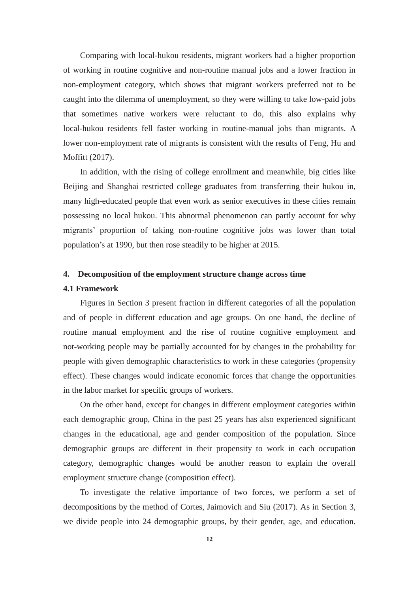Comparing with local-hukou residents, migrant workers had a higher proportion of working in routine cognitive and non-routine manual jobs and a lower fraction in non-employment category, which shows that migrant workers preferred not to be caught into the dilemma of unemployment, so they were willing to take low-paid jobs that sometimes native workers were reluctant to do, this also explains why local-hukou residents fell faster working in routine-manual jobs than migrants. A lower non-employment rate of migrants is consistent with the results of Feng, Hu and Moffitt (2017).

In addition, with the rising of college enrollment and meanwhile, big cities like Beijing and Shanghai restricted college graduates from transferring their hukou in, many high-educated people that even work as senior executives in these cities remain possessing no local hukou. This abnormal phenomenon can partly account for why migrants' proportion of taking non-routine cognitive jobs was lower than total population's at 1990, but then rose steadily to be higher at 2015.

#### **4. Decomposition of the employment structure change across time**

#### **4.1 Framework**

Figures in Section 3 present fraction in different categories of all the population and of people in different education and age groups. On one hand, the decline of routine manual employment and the rise of routine cognitive employment and not-working people may be partially accounted for by changes in the probability for people with given demographic characteristics to work in these categories (propensity effect). These changes would indicate economic forces that change the opportunities in the labor market for specific groups of workers.

On the other hand, except for changes in different employment categories within each demographic group, China in the past 25 years has also experienced significant changes in the educational, age and gender composition of the population. Since demographic groups are different in their propensity to work in each occupation category, demographic changes would be another reason to explain the overall employment structure change (composition effect).

To investigate the relative importance of two forces, we perform a set of decompositions by the method of Cortes, Jaimovich and Siu (2017). As in Section 3, we divide people into 24 demographic groups, by their gender, age, and education.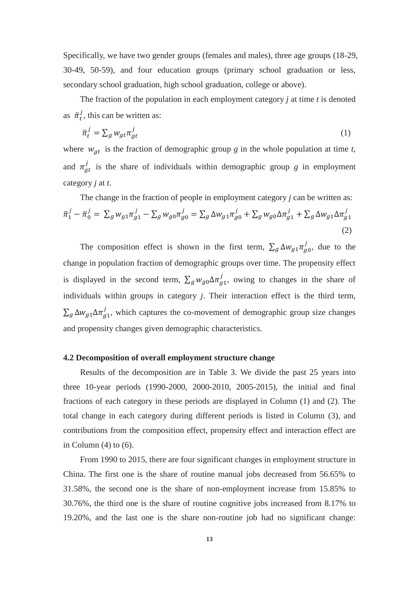Specifically, we have two gender groups (females and males), three age groups (18-29, 30-49, 50-59), and four education groups (primary school graduation or less, secondary school graduation, high school graduation, college or above).

The fraction of the population in each employment category *j* at time *t* is denoted as  $\bar{\pi}_t^j$ , this can be written as:

$$
\bar{\pi}_t^j = \sum_g w_{gt} \pi_{gt}^j \tag{1}
$$

where  $w_{gt}$  is the fraction of demographic group *g* in the whole population at time *t*, and  $\pi_{at}^{j}$  is the share of individuals within demographic group *g* in employment category *j* at *t*.

The change in the fraction of people in employment category *j* can be written as:  
\n
$$
\bar{\pi}_1^j - \bar{\pi}_0^j = \sum_g w_{g1} \pi_{g1}^j - \sum_g w_{g0} \pi_{g0}^j = \sum_g \Delta w_{g1} \pi_{g0}^j + \sum_g w_{g0} \Delta \pi_{g1}^j + \sum_g \Delta w_{g1} \Delta \pi_{g1}^j
$$
\n(2)

The composition effect is shown in the first term,  $\sum_{g} \Delta w_{g1} \pi_{g0}^{j}$ , due to the change in population fraction of demographic groups over time. The propensity effect is displayed in the second term,  $\sum_g w_{g0} \Delta \pi_{g1}^j$ , owing to changes in the share of individuals within groups in category *j*. Their interaction effect is the third term,  $\sum_g \Delta w_{g1} \Delta \pi_{g1}^j$ , which captures the co-movement of demographic group size changes and propensity changes given demographic characteristics.

#### **4.2 Decomposition of overall employment structure change**

Results of the decomposition are in Table 3. We divide the past 25 years into three 10-year periods (1990-2000, 2000-2010, 2005-2015), the initial and final fractions of each category in these periods are displayed in Column (1) and (2). The total change in each category during different periods is listed in Column (3), and contributions from the composition effect, propensity effect and interaction effect are in Column  $(4)$  to  $(6)$ .

From 1990 to 2015, there are four significant changes in employment structure in China. The first one is the share of routine manual jobs decreased from 56.65% to 31.58%, the second one is the share of non-employment increase from 15.85% to 30.76%, the third one is the share of routine cognitive jobs increased from 8.17% to 19.20%, and the last one is the share non-routine job had no significant change: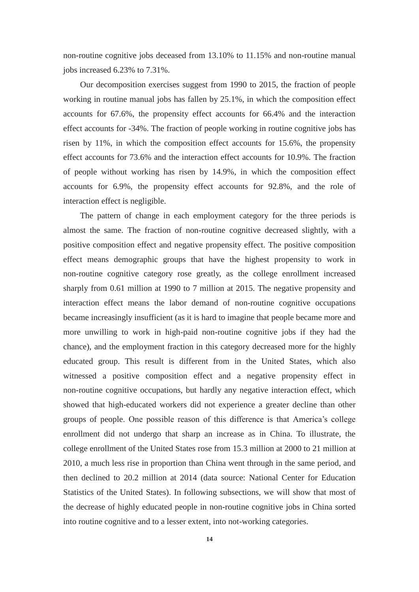non-routine cognitive jobs deceased from 13.10% to 11.15% and non-routine manual jobs increased 6.23% to 7.31%.

Our decomposition exercises suggest from 1990 to 2015, the fraction of people working in routine manual jobs has fallen by 25.1%, in which the composition effect accounts for 67.6%, the propensity effect accounts for 66.4% and the interaction effect accounts for -34%. The fraction of people working in routine cognitive jobs has risen by 11%, in which the composition effect accounts for 15.6%, the propensity effect accounts for 73.6% and the interaction effect accounts for 10.9%. The fraction of people without working has risen by 14.9%, in which the composition effect accounts for 6.9%, the propensity effect accounts for 92.8%, and the role of interaction effect is negligible.

The pattern of change in each employment category for the three periods is almost the same. The fraction of non-routine cognitive decreased slightly, with a positive composition effect and negative propensity effect. The positive composition effect means demographic groups that have the highest propensity to work in non-routine cognitive category rose greatly, as the college enrollment increased sharply from 0.61 million at 1990 to 7 million at 2015. The negative propensity and interaction effect means the labor demand of non-routine cognitive occupations became increasingly insufficient (as it is hard to imagine that people became more and more unwilling to work in high-paid non-routine cognitive jobs if they had the chance), and the employment fraction in this category decreased more for the highly educated group. This result is different from in the United States, which also witnessed a positive composition effect and a negative propensity effect in non-routine cognitive occupations, but hardly any negative interaction effect, which showed that high-educated workers did not experience a greater decline than other groups of people. One possible reason of this difference is that America's college enrollment did not undergo that sharp an increase as in China. To illustrate, the college enrollment of the United States rose from 15.3 million at 2000 to 21 million at 2010, a much less rise in proportion than China went through in the same period, and then declined to 20.2 million at 2014 (data source: National Center for Education Statistics of the United States). In following subsections, we will show that most of the decrease of highly educated people in non-routine cognitive jobs in China sorted into routine cognitive and to a lesser extent, into not-working categories.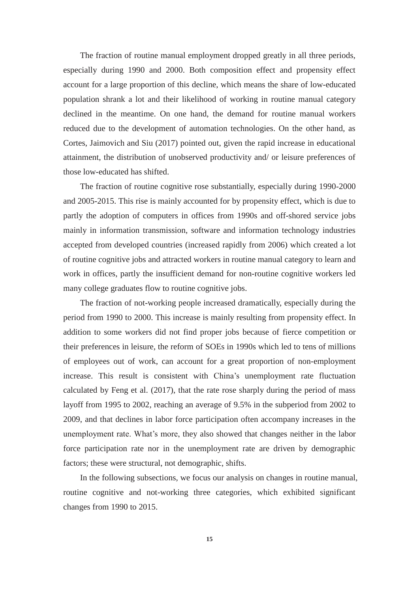The fraction of routine manual employment dropped greatly in all three periods, especially during 1990 and 2000. Both composition effect and propensity effect account for a large proportion of this decline, which means the share of low-educated population shrank a lot and their likelihood of working in routine manual category declined in the meantime. On one hand, the demand for routine manual workers reduced due to the development of automation technologies. On the other hand, as Cortes, Jaimovich and Siu (2017) pointed out, given the rapid increase in educational attainment, the distribution of unobserved productivity and/ or leisure preferences of those low-educated has shifted.

The fraction of routine cognitive rose substantially, especially during 1990-2000 and 2005-2015. This rise is mainly accounted for by propensity effect, which is due to partly the adoption of computers in offices from 1990s and off-shored service jobs mainly in information transmission, software and information technology industries accepted from developed countries (increased rapidly from 2006) which created a lot of routine cognitive jobs and attracted workers in routine manual category to learn and work in offices, partly the insufficient demand for non-routine cognitive workers led many college graduates flow to routine cognitive jobs.

The fraction of not-working people increased dramatically, especially during the period from 1990 to 2000. This increase is mainly resulting from propensity effect. In addition to some workers did not find proper jobs because of fierce competition or their preferences in leisure, the reform of SOEs in 1990s which led to tens of millions of employees out of work, can account for a great proportion of non-employment increase. This result is consistent with China's unemployment rate fluctuation calculated by Feng et al. (2017), that the rate rose sharply during the period of mass layoff from 1995 to 2002, reaching an average of 9.5% in the subperiod from 2002 to 2009, and that declines in labor force participation often accompany increases in the unemployment rate. What's more, they also showed that changes neither in the labor force participation rate nor in the unemployment rate are driven by demographic factors; these were structural, not demographic, shifts.

In the following subsections, we focus our analysis on changes in routine manual, routine cognitive and not-working three categories, which exhibited significant changes from 1990 to 2015.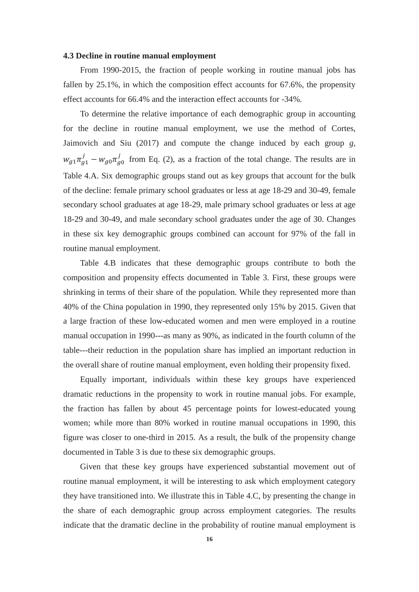#### **4.3 Decline in routine manual employment**

From 1990-2015, the fraction of people working in routine manual jobs has fallen by 25.1%, in which the composition effect accounts for 67.6%, the propensity effect accounts for 66.4% and the interaction effect accounts for -34%.

To determine the relative importance of each demographic group in accounting for the decline in routine manual employment, we use the method of Cortes, Jaimovich and Siu (2017) and compute the change induced by each group *g*,  $w_{a1} \pi_{a1}^{j} - w_{a0} \pi_{a0}^{j}$  from Eq. (2), as a fraction of the total change. The results are in Table 4.A. Six demographic groups stand out as key groups that account for the bulk of the decline: female primary school graduates or less at age 18-29 and 30-49, female secondary school graduates at age 18-29, male primary school graduates or less at age 18-29 and 30-49, and male secondary school graduates under the age of 30. Changes in these six key demographic groups combined can account for 97% of the fall in routine manual employment.

Table 4.B indicates that these demographic groups contribute to both the composition and propensity effects documented in Table 3. First, these groups were shrinking in terms of their share of the population. While they represented more than 40% of the China population in 1990, they represented only 15% by 2015. Given that a large fraction of these low-educated women and men were employed in a routine manual occupation in 1990---as many as 90%, as indicated in the fourth column of the table---their reduction in the population share has implied an important reduction in the overall share of routine manual employment, even holding their propensity fixed.

Equally important, individuals within these key groups have experienced dramatic reductions in the propensity to work in routine manual jobs. For example, the fraction has fallen by about 45 percentage points for lowest-educated young women; while more than 80% worked in routine manual occupations in 1990, this figure was closer to one-third in 2015. As a result, the bulk of the propensity change documented in Table 3 is due to these six demographic groups.

Given that these key groups have experienced substantial movement out of routine manual employment, it will be interesting to ask which employment category they have transitioned into. We illustrate this in Table 4.C, by presenting the change in the share of each demographic group across employment categories. The results indicate that the dramatic decline in the probability of routine manual employment is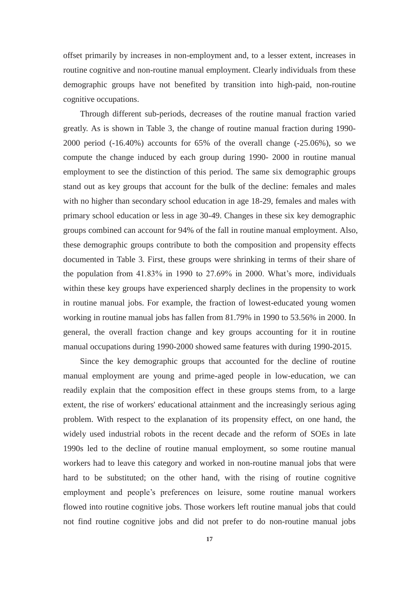offset primarily by increases in non-employment and, to a lesser extent, increases in routine cognitive and non-routine manual employment. Clearly individuals from these demographic groups have not benefited by transition into high-paid, non-routine cognitive occupations.

Through different sub-periods, decreases of the routine manual fraction varied greatly. As is shown in Table 3, the change of routine manual fraction during 1990- 2000 period (-16.40%) accounts for 65% of the overall change (-25.06%), so we compute the change induced by each group during 1990- 2000 in routine manual employment to see the distinction of this period. The same six demographic groups stand out as key groups that account for the bulk of the decline: females and males with no higher than secondary school education in age 18-29, females and males with primary school education or less in age 30-49. Changes in these six key demographic groups combined can account for 94% of the fall in routine manual employment. Also, these demographic groups contribute to both the composition and propensity effects documented in Table 3. First, these groups were shrinking in terms of their share of the population from 41.83% in 1990 to 27.69% in 2000. What's more, individuals within these key groups have experienced sharply declines in the propensity to work in routine manual jobs. For example, the fraction of lowest-educated young women working in routine manual jobs has fallen from 81.79% in 1990 to 53.56% in 2000. In general, the overall fraction change and key groups accounting for it in routine manual occupations during 1990-2000 showed same features with during 1990-2015.

Since the key demographic groups that accounted for the decline of routine manual employment are young and prime-aged people in low-education, we can readily explain that the composition effect in these groups stems from, to a large extent, the rise of workers' educational attainment and the increasingly serious aging problem. With respect to the explanation of its propensity effect, on one hand, the widely used industrial robots in the recent decade and the reform of SOEs in late 1990s led to the decline of routine manual employment, so some routine manual workers had to leave this category and worked in non-routine manual jobs that were hard to be substituted; on the other hand, with the rising of routine cognitive employment and people's preferences on leisure, some routine manual workers flowed into routine cognitive jobs. Those workers left routine manual jobs that could not find routine cognitive jobs and did not prefer to do non-routine manual jobs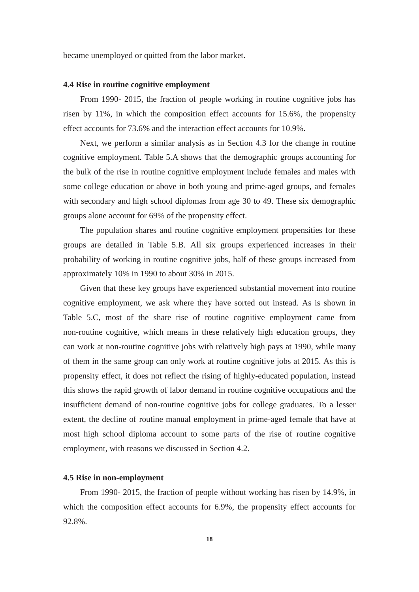became unemployed or quitted from the labor market.

#### **4.4 Rise in routine cognitive employment**

From 1990- 2015, the fraction of people working in routine cognitive jobs has risen by 11%, in which the composition effect accounts for 15.6%, the propensity effect accounts for 73.6% and the interaction effect accounts for 10.9%.

Next, we perform a similar analysis as in Section 4.3 for the change in routine cognitive employment. Table 5.A shows that the demographic groups accounting for the bulk of the rise in routine cognitive employment include females and males with some college education or above in both young and prime-aged groups, and females with secondary and high school diplomas from age 30 to 49. These six demographic groups alone account for 69% of the propensity effect.

The population shares and routine cognitive employment propensities for these groups are detailed in Table 5.B. All six groups experienced increases in their probability of working in routine cognitive jobs, half of these groups increased from approximately 10% in 1990 to about 30% in 2015.

Given that these key groups have experienced substantial movement into routine cognitive employment, we ask where they have sorted out instead. As is shown in Table 5.C, most of the share rise of routine cognitive employment came from non-routine cognitive, which means in these relatively high education groups, they can work at non-routine cognitive jobs with relatively high pays at 1990, while many of them in the same group can only work at routine cognitive jobs at 2015. As this is propensity effect, it does not reflect the rising of highly-educated population, instead this shows the rapid growth of labor demand in routine cognitive occupations and the insufficient demand of non-routine cognitive jobs for college graduates. To a lesser extent, the decline of routine manual employment in prime-aged female that have at most high school diploma account to some parts of the rise of routine cognitive employment, with reasons we discussed in Section 4.2.

#### **4.5 Rise in non-employment**

From 1990- 2015, the fraction of people without working has risen by 14.9%, in which the composition effect accounts for 6.9%, the propensity effect accounts for 92.8%.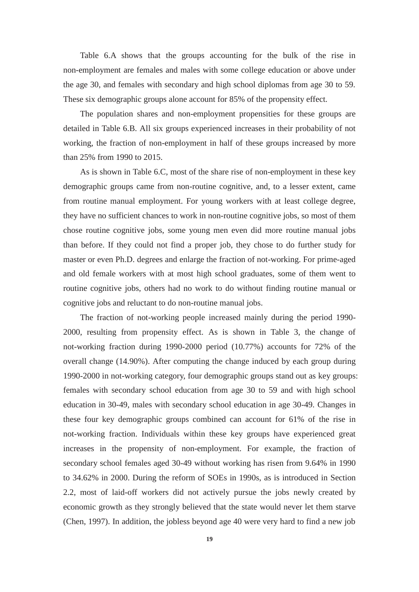Table 6.A shows that the groups accounting for the bulk of the rise in non-employment are females and males with some college education or above under the age 30, and females with secondary and high school diplomas from age 30 to 59. These six demographic groups alone account for 85% of the propensity effect.

The population shares and non-employment propensities for these groups are detailed in Table 6.B. All six groups experienced increases in their probability of not working, the fraction of non-employment in half of these groups increased by more than 25% from 1990 to 2015.

As is shown in Table 6.C, most of the share rise of non-employment in these key demographic groups came from non-routine cognitive, and, to a lesser extent, came from routine manual employment. For young workers with at least college degree, they have no sufficient chances to work in non-routine cognitive jobs, so most of them chose routine cognitive jobs, some young men even did more routine manual jobs than before. If they could not find a proper job, they chose to do further study for master or even Ph.D. degrees and enlarge the fraction of not-working. For prime-aged and old female workers with at most high school graduates, some of them went to routine cognitive jobs, others had no work to do without finding routine manual or cognitive jobs and reluctant to do non-routine manual jobs.

The fraction of not-working people increased mainly during the period 1990- 2000, resulting from propensity effect. As is shown in Table 3, the change of not-working fraction during 1990-2000 period (10.77%) accounts for 72% of the overall change (14.90%). After computing the change induced by each group during 1990-2000 in not-working category, four demographic groups stand out as key groups: females with secondary school education from age 30 to 59 and with high school education in 30-49, males with secondary school education in age 30-49. Changes in these four key demographic groups combined can account for 61% of the rise in not-working fraction. Individuals within these key groups have experienced great increases in the propensity of non-employment. For example, the fraction of secondary school females aged 30-49 without working has risen from 9.64% in 1990 to 34.62% in 2000. During the reform of SOEs in 1990s, as is introduced in Section 2.2, most of laid-off workers did not actively pursue the jobs newly created by economic growth as they strongly believed that the state would never let them starve (Chen, 1997). In addition, the jobless beyond age 40 were very hard to find a new job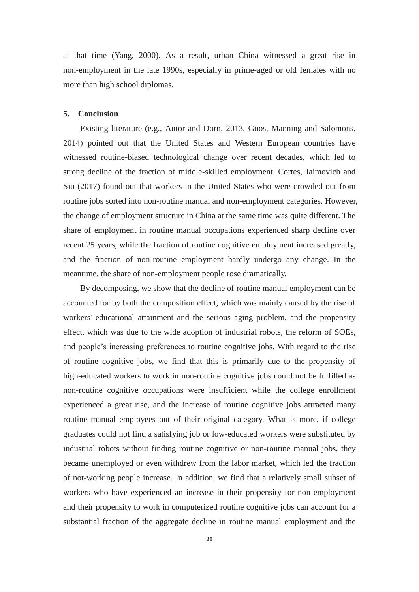at that time (Yang, 2000). As a result, urban China witnessed a great rise in non-employment in the late 1990s, especially in prime-aged or old females with no more than high school diplomas.

#### **5. Conclusion**

Existing literature (e.g., Autor and Dorn, 2013, Goos, Manning and Salomons, 2014) pointed out that the United States and Western European countries have witnessed routine-biased technological change over recent decades, which led to strong decline of the fraction of middle-skilled employment. Cortes, Jaimovich and Siu (2017) found out that workers in the United States who were crowded out from routine jobs sorted into non-routine manual and non-employment categories. However, the change of employment structure in China at the same time was quite different. The share of employment in routine manual occupations experienced sharp decline over recent 25 years, while the fraction of routine cognitive employment increased greatly, and the fraction of non-routine employment hardly undergo any change. In the meantime, the share of non-employment people rose dramatically.

By decomposing, we show that the decline of routine manual employment can be accounted for by both the composition effect, which was mainly caused by the rise of workers' educational attainment and the serious aging problem, and the propensity effect, which was due to the wide adoption of industrial robots, the reform of SOEs, and people's increasing preferences to routine cognitive jobs. With regard to the rise of routine cognitive jobs, we find that this is primarily due to the propensity of high-educated workers to work in non-routine cognitive jobs could not be fulfilled as non-routine cognitive occupations were insufficient while the college enrollment experienced a great rise, and the increase of routine cognitive jobs attracted many routine manual employees out of their original category. What is more, if college graduates could not find a satisfying job or low-educated workers were substituted by industrial robots without finding routine cognitive or non-routine manual jobs, they became unemployed or even withdrew from the labor market, which led the fraction of not-working people increase. In addition, we find that a relatively small subset of workers who have experienced an increase in their propensity for non-employment and their propensity to work in computerized routine cognitive jobs can account for a substantial fraction of the aggregate decline in routine manual employment and the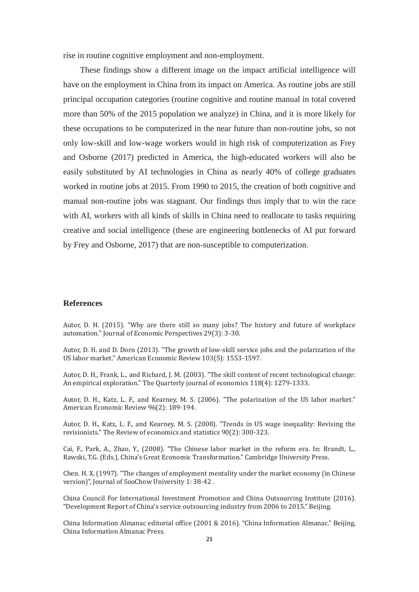rise in routine cognitive employment and non-employment.

These findings show a different image on the impact artificial intelligence will have on the employment in China from its impact on America. As routine jobs are still principal occupation categories (routine cognitive and routine manual in total covered more than 50% of the 2015 population we analyze) in China, and it is more likely for these occupations to be computerized in the near future than non-routine jobs, so not only low-skill and low-wage workers would in high risk of computerization as Frey and Osborne (2017) predicted in America, the high-educated workers will also be easily substituted by AI technologies in China as nearly 40% of college graduates worked in routine jobs at 2015. From 1990 to 2015, the creation of both cognitive and manual non-routine jobs was stagnant. Our findings thus imply that to win the race with AI, workers with all kinds of skills in China need to reallocate to tasks requiring creative and social intelligence (these are engineering bottlenecks of AI put forward by Frey and Osborne, 2017) that are non-susceptible to computerization.

#### **References**

Autor, D. H. (2015). "Why are there still so many jobs? The history and future of workplace automation." Journal of Economic Perspectives 29(3): 3-30.

Autor, D. H. and D. Dorn (2013). "The growth of low-skill service jobs and the polarization of the US labor market." American Economic Review 103(5): 1553-1597.

Autor, D. H., Frank, L., and Richard, J. M. (2003). "The skill content of recent technological change: An empirical exploration." The Quarterly journal of economics 118(4): 1279-1333.

Autor, D. H., Katz, L. F., and Kearney, M. S. (2006). "The polarization of the US labor market." American Economic Review 96(2): 189-194.

Autor, D. H., Katz, L. F., and Kearney, M. S. (2008). "Trends in US wage inequality: Revising the revisionists." The Review of economics and statistics 90(2): 300-323.

Cai, F., Park, A., Zhao, Y., (2008). "The Chinese labor market in the reform era. In: Brandt, L., Rawski, T.G. (Eds.), China's Great Economic Transformation." Cambridge University Press.

Chen. H. X. (1997). "The changes of employment mentality under the market economy (in Chinese version)", Journal of SooChow University 1: 38-42 .

China Council For International Investment Promotion and China Outsourcing Institute (2016). "Development Report of China's service outsourcing industry from 2006 to 2015." Beijing.

China Information Almanac editorial office (2001 & 2016). "China Information Almanac." Beijing, China Information Almanac Press.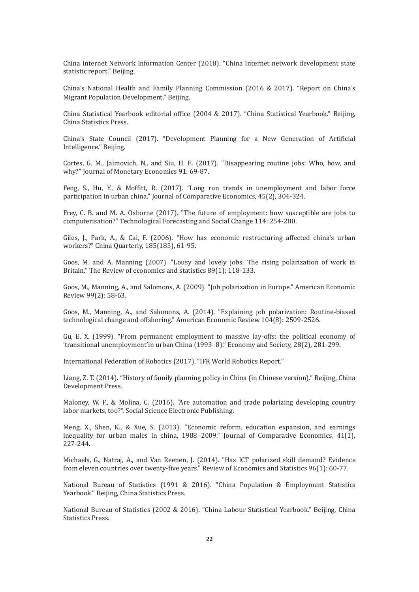China Internet Network Information Center (2018). "China Internet network development state statistic report." Beijing.

China's National Health and Family Planning Commission (2016 & 2017). "Report on China's Migrant Population Development." Beijing.

China Statistical Yearbook editorial office (2004 & 2017). "China Statistical Yearbook." Beijing, China Statistics Press.

China's State Council (2017). "Development Planning for a New Generation of Artificial Intelligence." Beijing.

Cortes, G. M., Jaimovich, N., and Siu, H. E. (2017). "Disappearing routine jobs: Who, how, and why?" Journal of Monetary Economics 91: 69-87.

Feng, S., Hu, Y., & Moffitt, R. (2017). "Long run trends in unemployment and labor force participation in urban china." Journal of Comparative Economics, 45(2), 304-324.

Frey, C. B. and M. A. Osborne (2017). "The future of employment: how susceptible are jobs to computerisation?" Technological Forecasting and Social Change 114: 254-280.

Giles, J., Park, A., & Cai, F. (2006). "How has economic restructuring affected china's urban workers?" China Quarterly, 185(185), 61-95.

Goos, M. and A. Manning (2007). "Lousy and lovely jobs: The rising polarization of work in Britain." The Review of economics and statistics 89(1): 118-133.

Goos, M., Manning, A., and Salomons, A. (2009). "Job polarization in Europe." American Economic Review 99(2): 58-63.

Goos, M., Manning, A., and Salomons, A. (2014). "Explaining job polarization: Routine-biased technological change and offshoring." American Economic Review 104(8): 2509-2526.

Gu, E. X. (1999). "From permanent employment to massive lay-offs: the political economy of 'transitional unemployment'in urban China (1993–8)." Economy and Society, 28(2), 281-299.

International Federation of Robotics (2017). "IFR World Robotics Report."

Liang, Z. T. (2014). "History of family planning policy in China (in Chinese version)." Beijing, China Development Press.

Maloney, W. F., & Molina, C. (2016). "Are automation and trade polarizing developing country labor markets, too?". Social Science Electronic Publishing.

Meng, X., Shen, K., & Xue, S. (2013). "Economic reform, education expansion, and earnings inequality for urban males in china, 1988–2009." Journal of Comparative Economics, 41(1), 227-244.

Michaels, G., Natraj, A., and Van Reenen, J. (2014). "Has ICT polarized skill demand? Evidence from eleven countries over twenty-five years." Review of Economics and Statistics 96(1): 60-77.

National Bureau of Statistics (1991 & 2016). "China Population & Employment Statistics Yearbook." Beijing, China Statistics Press.

National Bureau of Statistics (2002 & 2016). "China Labour Statistical Yearbook." Beijing, China Statistics Press.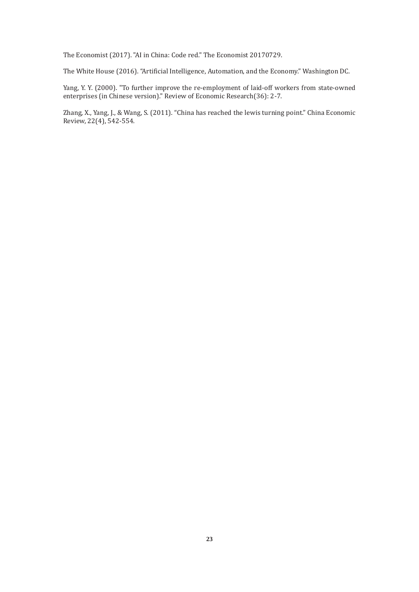The Economist (2017). "AI in China: Code red." The Economist 20170729.

The White House (2016). "Artificial Intelligence, Automation, and the Economy." Washington DC.

Yang, Y. Y. (2000). "To further improve the re-employment of laid-off workers from state-owned enterprises (in Chinese version)." Review of Economic Research(36): 2-7.

Zhang, X., Yang, J., & Wang, S. (2011). "China has reached the lewis turning point." China Economic Review, 22(4), 542-554.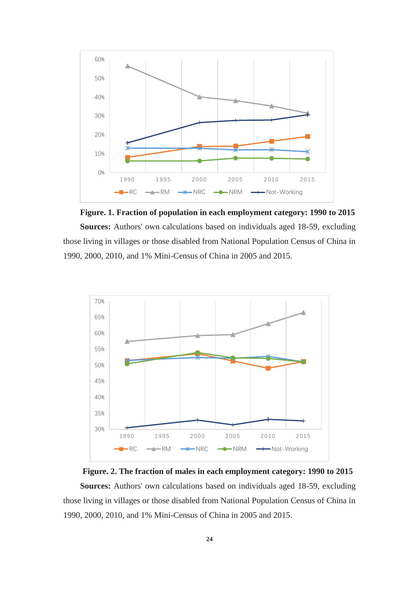

**Figure. 1. Fraction of population in each employment category: 1990 to 2015 Sources:** Authors' own calculations based on individuals aged 18-59, excluding those living in villages or those disabled from National Population Census of China in 1990, 2000, 2010, and 1% Mini-Census of China in 2005 and 2015.



**Figure. 2. The fraction of males in each employment category: 1990 to 2015 Sources:** Authors' own calculations based on individuals aged 18-59, excluding those living in villages or those disabled from National Population Census of China in 1990, 2000, 2010, and 1% Mini-Census of China in 2005 and 2015.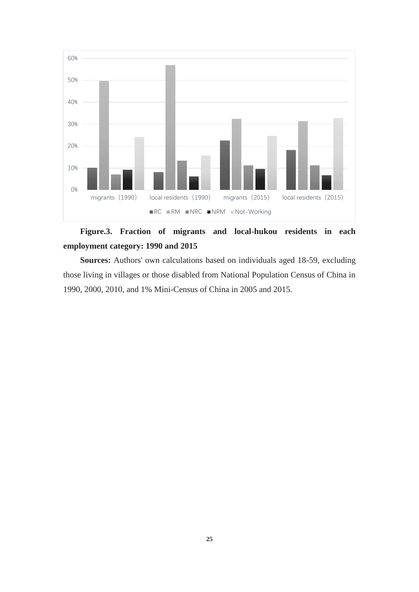

### **Figure.3. Fraction of migrants and local-hukou residents in each employment category: 1990 and 2015**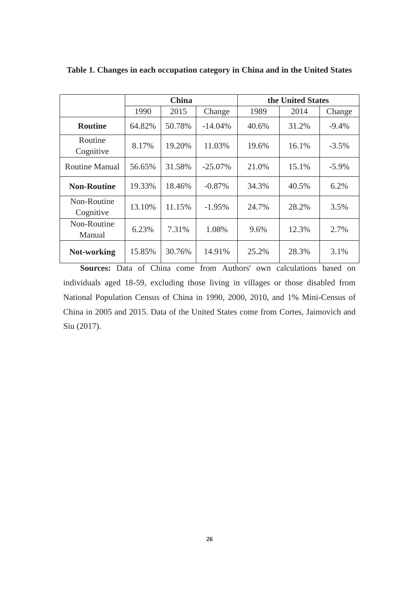|                          |        | <b>China</b> |            |       | the United States |          |  |
|--------------------------|--------|--------------|------------|-------|-------------------|----------|--|
|                          | 1990   | 2015         | Change     | 1989  | 2014              | Change   |  |
| <b>Routine</b>           | 64.82% | 50.78%       | $-14.04%$  | 40.6% | 31.2%             | $-9.4%$  |  |
| Routine<br>Cognitive     | 8.17%  | 19.20%       | 11.03%     | 19.6% | 16.1%             | $-3.5%$  |  |
| <b>Routine Manual</b>    | 56.65% | 31.58%       | $-25.07\%$ | 21.0% | 15.1%             | $-5.9\%$ |  |
| <b>Non-Routine</b>       | 19.33% | 18.46%       | $-0.87%$   | 34.3% | 40.5%             | 6.2%     |  |
| Non-Routine<br>Cognitive | 13.10% | 11.15%       | $-1.95%$   | 24.7% | 28.2%             | 3.5%     |  |
| Non-Routine<br>Manual    | 6.23%  | 7.31%        | 1.08%      | 9.6%  | 12.3%             | 2.7%     |  |
| Not-working              | 15.85% | 30.76%       | 14.91%     | 25.2% | 28.3%             | 3.1%     |  |

**Table 1. Changes in each occupation category in China and in the United States**

**Sources:** Data of China come from Authors' own calculations based on individuals aged 18-59, excluding those living in villages or those disabled from National Population Census of China in 1990, 2000, 2010, and 1% Mini-Census of China in 2005 and 2015. Data of the United States come from Cortes, Jaimovich and Siu (2017).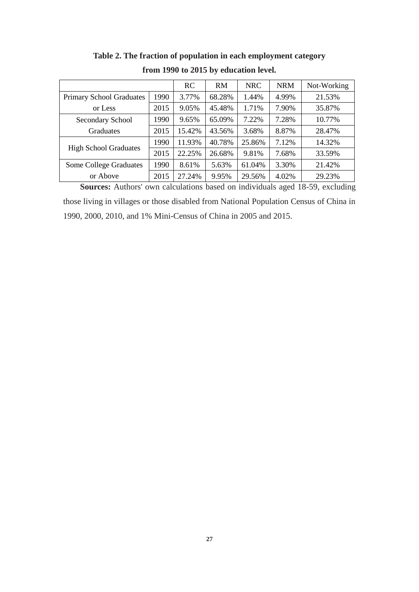|                                 |      | RC     | RM     | <b>NRC</b> | <b>NRM</b> | Not-Working |
|---------------------------------|------|--------|--------|------------|------------|-------------|
| <b>Primary School Graduates</b> | 1990 | 3.77%  | 68.28% | 1.44%      | 4.99%      | 21.53%      |
| or Less                         | 2015 | 9.05%  | 45.48% | 1.71%      | 7.90%      | 35.87%      |
| Secondary School                | 1990 | 9.65%  | 65.09% | 7.22%      | 7.28%      | 10.77%      |
| Graduates                       | 2015 | 15.42% | 43.56% | 3.68%      | 8.87%      | 28.47%      |
|                                 | 1990 | 11.93% | 40.78% | 25.86%     | 7.12%      | 14.32%      |
| <b>High School Graduates</b>    | 2015 | 22.25% | 26.68% | 9.81%      | 7.68%      | 33.59%      |
| Some College Graduates          | 1990 | 8.61%  | 5.63%  | 61.04%     | 3.30%      | 21.42%      |
| or Above                        | 2015 | 27.24% | 9.95%  | 29.56%     | 4.02%      | 29.23%      |

**Table 2. The fraction of population in each employment category from 1990 to 2015 by education level.**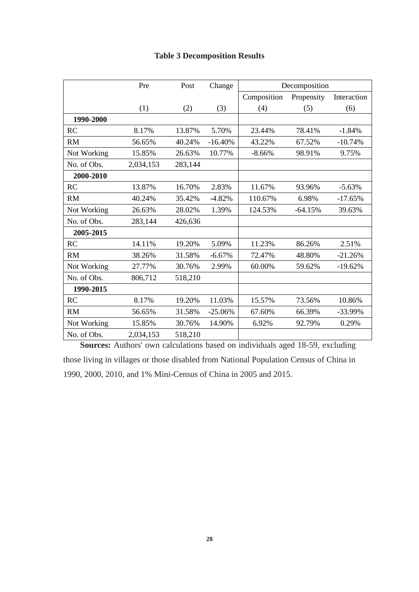|             | Pre       | Post    | Change    |             | Decomposition |             |
|-------------|-----------|---------|-----------|-------------|---------------|-------------|
|             |           |         |           | Composition | Propensity    | Interaction |
|             | (1)       | (2)     | (3)       | (4)         | (5)           | (6)         |
| 1990-2000   |           |         |           |             |               |             |
| <b>RC</b>   | 8.17%     | 13.87%  | 5.70%     | 23.44%      | 78.41%        | $-1.84%$    |
| RM          | 56.65%    | 40.24%  | $-16.40%$ | 43.22%      | 67.52%        | $-10.74%$   |
| Not Working | 15.85%    | 26.63%  | 10.77%    | $-8.66%$    | 98.91%        | 9.75%       |
| No. of Obs. | 2,034,153 | 283,144 |           |             |               |             |
| 2000-2010   |           |         |           |             |               |             |
| <b>RC</b>   | 13.87%    | 16.70%  | 2.83%     | 11.67%      | 93.96%        | $-5.63%$    |
| <b>RM</b>   | 40.24%    | 35.42%  | $-4.82%$  | 110.67%     | 6.98%         | $-17.65%$   |
| Not Working | 26.63%    | 28.02%  | 1.39%     | 124.53%     | $-64.15%$     | 39.63%      |
| No. of Obs. | 283,144   | 426,636 |           |             |               |             |
| 2005-2015   |           |         |           |             |               |             |
| RC          | 14.11%    | 19.20%  | 5.09%     | 11.23%      | 86.26%        | 2.51%       |
| <b>RM</b>   | 38.26%    | 31.58%  | $-6.67%$  | 72.47%      | 48.80%        | $-21.26%$   |
| Not Working | 27.77%    | 30.76%  | 2.99%     | 60.00%      | 59.62%        | $-19.62%$   |
| No. of Obs. | 806,712   | 518,210 |           |             |               |             |
| 1990-2015   |           |         |           |             |               |             |
| RC          | 8.17%     | 19.20%  | 11.03%    | 15.57%      | 73.56%        | 10.86%      |
| <b>RM</b>   | 56.65%    | 31.58%  | $-25.06%$ | 67.60%      | 66.39%        | $-33.99%$   |
| Not Working | 15.85%    | 30.76%  | 14.90%    | 6.92%       | 92.79%        | 0.29%       |
| No. of Obs. | 2,034,153 | 518,210 |           |             |               |             |

### **Table 3 Decomposition Results**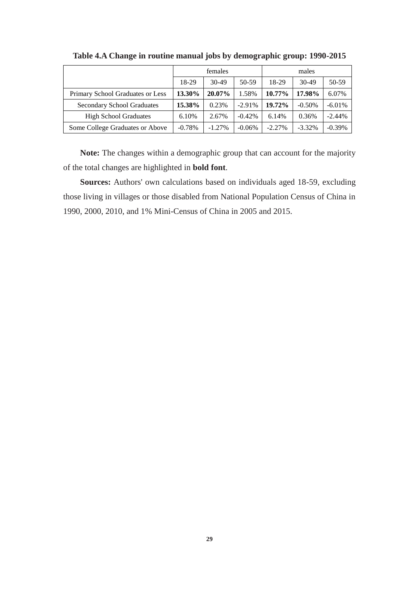|                                   |          | females  |          | males    |           |           |
|-----------------------------------|----------|----------|----------|----------|-----------|-----------|
|                                   | 18-29    | $30-49$  | 50-59    | 18-29    | $30-49$   | 50-59     |
| Primary School Graduates or Less  | 13.30%   | 20.07%   | 1.58%    | 10.77%   | 17.98%    | 6.07%     |
| <b>Secondary School Graduates</b> | 15.38%   | 0.23%    | $-2.91%$ | 19.72%   | $-0.50%$  | $-6.01\%$ |
| <b>High School Graduates</b>      | 6.10%    | 2.67%    | $-0.42%$ | 6.14%    | 0.36%     | $-2.44%$  |
| Some College Graduates or Above   | $-0.78%$ | $-1.27%$ | $-0.06%$ | $-2.27%$ | $-3.32\%$ | $-0.39%$  |

**Table 4.A Change in routine manual jobs by demographic group: 1990-2015**

**Note:** The changes within a demographic group that can account for the majority of the total changes are highlighted in **bold font**.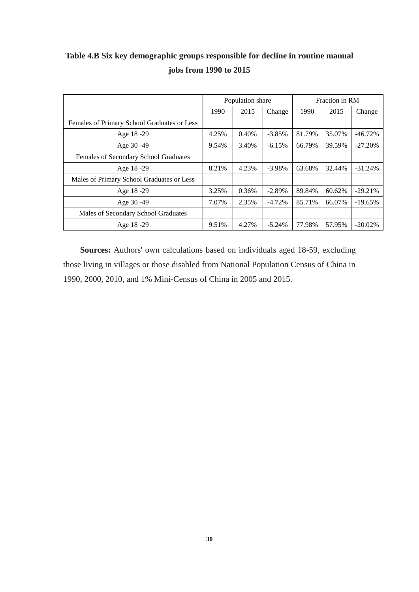|                                             |       | Population share |          | Fraction in RM |        |            |  |
|---------------------------------------------|-------|------------------|----------|----------------|--------|------------|--|
|                                             | 1990  | 2015             | Change   | 1990           | 2015   | Change     |  |
| Females of Primary School Graduates or Less |       |                  |          |                |        |            |  |
| Age 18 - 29                                 | 4.25% | 0.40%            | $-3.85%$ | 81.79%         | 35.07% | $-46.72%$  |  |
| Age 30 - 49                                 | 9.54% | 3.40%            | $-6.15%$ | 66.79%         | 39.59% | $-27.20%$  |  |
| Females of Secondary School Graduates       |       |                  |          |                |        |            |  |
| Age 18 - 29                                 | 8.21% | 4.23%            | $-3.98%$ | 63.68%         | 32.44% | $-31.24%$  |  |
| Males of Primary School Graduates or Less   |       |                  |          |                |        |            |  |
| Age 18-29                                   | 3.25% | 0.36%            | $-2.89%$ | 89.84%         | 60.62% | $-29.21%$  |  |
| Age 30 - 49                                 | 7.07% | 2.35%            | $-4.72%$ | 85.71%         | 66.07% | $-19.65%$  |  |
| Males of Secondary School Graduates         |       |                  |          |                |        |            |  |
| Age 18-29                                   | 9.51% | 4.27%            | $-5.24%$ | 77.98%         | 57.95% | $-20.02\%$ |  |

## **Table 4.B Six key demographic groups responsible for decline in routine manual jobs from 1990 to 2015**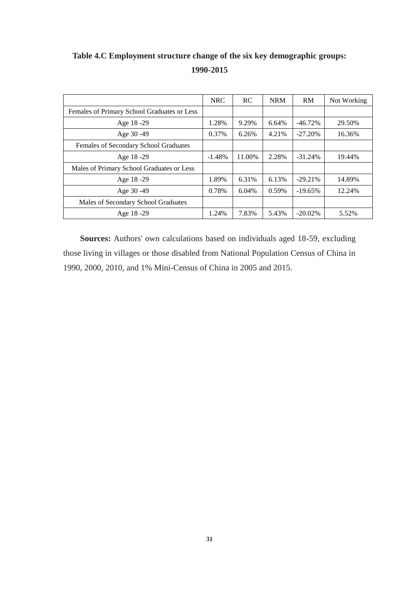## **Table 4.C Employment structure change of the six key demographic groups: 1990-2015**

|                                             | <b>NRC</b> | <b>RC</b> | <b>NRM</b> | RM         | Not Working |
|---------------------------------------------|------------|-----------|------------|------------|-------------|
| Females of Primary School Graduates or Less |            |           |            |            |             |
| Age 18 - 29                                 | 1.28%      | 9.29%     | 6.64%      | $-46.72%$  | 29.50%      |
| Age 30 - 49                                 | 0.37%      | 6.26%     | 4.21%      | $-27.20%$  | 16.36%      |
| Females of Secondary School Graduates       |            |           |            |            |             |
| Age 18-29                                   | $-1.48%$   | 11.00%    | 2.28%      | $-31.24%$  | 19.44%      |
| Males of Primary School Graduates or Less   |            |           |            |            |             |
| Age 18 - 29                                 | 1.89%      | 6.31%     | 6.13%      | $-29.21%$  | 14.89%      |
| Age 30 - 49                                 | 0.78%      | 6.04%     | 0.59%      | $-19.65%$  | 12.24%      |
| Males of Secondary School Graduates         |            |           |            |            |             |
| Age 18 - 29                                 | 1.24%      | 7.83%     | 5.43%      | $-20.02\%$ | 5.52%       |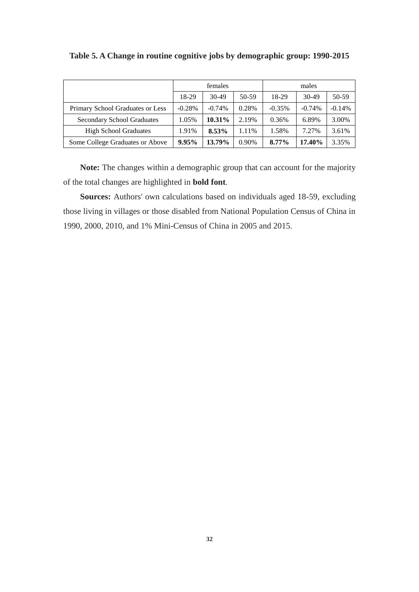|                                   |          | females  |       | males    |          |          |  |
|-----------------------------------|----------|----------|-------|----------|----------|----------|--|
|                                   | 18-29    | $30-49$  | 50-59 | 18-29    | $30-49$  | 50-59    |  |
| Primary School Graduates or Less  | $-0.28%$ | $-0.74%$ | 0.28% | $-0.35%$ | $-0.74%$ | $-0.14%$ |  |
| <b>Secondary School Graduates</b> | 1.05%    | 10.31%   | 2.19% | 0.36%    | 6.89%    | 3.00%    |  |
| <b>High School Graduates</b>      | 1.91%    | 8.53%    | 1.11% | 1.58%    | 7.27%    | 3.61%    |  |
| Some College Graduates or Above   | 9.95%    | 13.79%   | 0.90% | 8.77%    | 17.40%   | 3.35%    |  |

**Table 5. A Change in routine cognitive jobs by demographic group: 1990-2015**

**Note:** The changes within a demographic group that can account for the majority of the total changes are highlighted in **bold font**.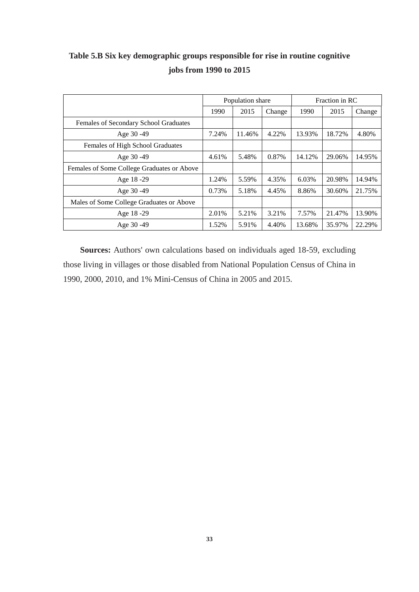### **Table 5.B Six key demographic groups responsible for rise in routine cognitive jobs from 1990 to 2015**

|                                            | Population share |        |        | Fraction in RC |        |        |  |
|--------------------------------------------|------------------|--------|--------|----------------|--------|--------|--|
|                                            | 1990             | 2015   | Change | 1990           | 2015   | Change |  |
| Females of Secondary School Graduates      |                  |        |        |                |        |        |  |
| Age 30 - 49                                | 7.24%            | 11.46% | 4.22%  | 13.93%         | 18.72% | 4.80%  |  |
| Females of High School Graduates           |                  |        |        |                |        |        |  |
| Age 30 - 49                                | 4.61%            | 5.48%  | 0.87%  | 14.12%         | 29.06% | 14.95% |  |
| Females of Some College Graduates or Above |                  |        |        |                |        |        |  |
| Age 18 - 29                                | 1.24%            | 5.59%  | 4.35%  | 6.03%          | 20.98% | 14.94% |  |
| Age 30 - 49                                | 0.73%            | 5.18%  | 4.45%  | 8.86%          | 30.60% | 21.75% |  |
| Males of Some College Graduates or Above   |                  |        |        |                |        |        |  |
| Age 18-29                                  | 2.01%            | 5.21%  | 3.21%  | 7.57%          | 21.47% | 13.90% |  |
| Age 30 - 49                                | 1.52%            | 5.91%  | 4.40%  | 13.68%         | 35.97% | 22.29% |  |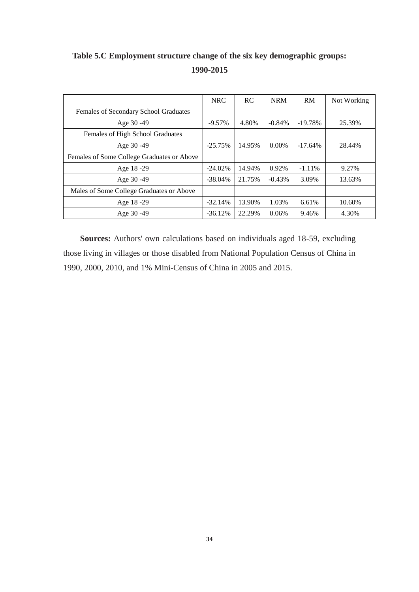# **Table 5.C Employment structure change of the six key demographic groups: 1990-2015**

|                                            | <b>NRC</b> | <b>RC</b> | <b>NRM</b> | RM        | Not Working |
|--------------------------------------------|------------|-----------|------------|-----------|-------------|
| Females of Secondary School Graduates      |            |           |            |           |             |
| Age 30 - 49                                | $-9.57\%$  | 4.80%     | $-0.84%$   | $-19.78%$ | 25.39%      |
| Females of High School Graduates           |            |           |            |           |             |
| Age 30 - 49                                | $-25.75%$  | 14.95%    | $0.00\%$   | $-17.64%$ | 28.44%      |
| Females of Some College Graduates or Above |            |           |            |           |             |
| Age 18-29                                  | $-24.02\%$ | 14.94%    | 0.92%      | $-1.11\%$ | 9.27%       |
| Age 30 - 49                                | $-38.04\%$ | 21.75%    | $-0.43%$   | 3.09%     | 13.63%      |
| Males of Some College Graduates or Above   |            |           |            |           |             |
| Age 18-29                                  | $-32.14%$  | 13.90%    | 1.03%      | 6.61%     | 10.60%      |
| Age 30 - 49                                | $-36.12%$  | 22.29%    | 0.06%      | 9.46%     | 4.30%       |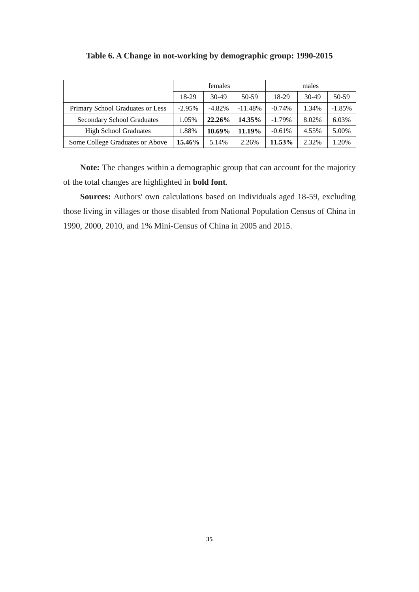|                                   |          | females  |           | males    |         |          |  |
|-----------------------------------|----------|----------|-----------|----------|---------|----------|--|
|                                   | 18-29    | $30-49$  | 50-59     | 18-29    | $30-49$ | 50-59    |  |
| Primary School Graduates or Less  | $-2.95%$ | $-4.82%$ | $-11.48%$ | $-0.74%$ | 1.34%   | $-1.85%$ |  |
| <b>Secondary School Graduates</b> | 1.05%    | 22.26%   | 14.35%    | $-1.79%$ | 8.02%   | 6.03%    |  |
| <b>High School Graduates</b>      | 1.88%    | 10.69%   | 11.19%    | $-0.61%$ | 4.55%   | 5.00%    |  |
| Some College Graduates or Above   | 15.46%   | 5.14%    | 2.26%     | 11.53%   | 2.32%   | 1.20%    |  |

#### **Table 6. A Change in not-working by demographic group: 1990-2015**

**Note:** The changes within a demographic group that can account for the majority of the total changes are highlighted in **bold font**.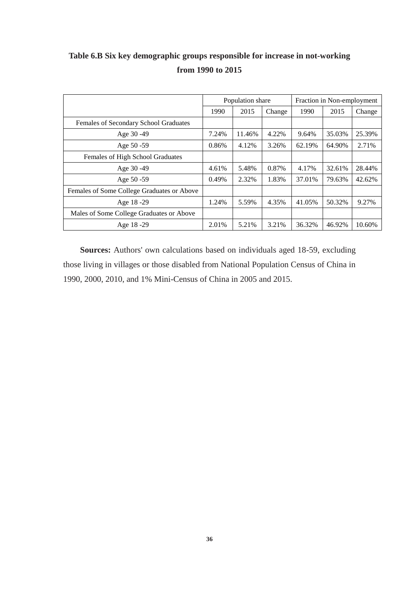## **Table 6.B Six key demographic groups responsible for increase in not-working from 1990 to 2015**

|                                            | Population share |        |        | Fraction in Non-employment |        |        |  |
|--------------------------------------------|------------------|--------|--------|----------------------------|--------|--------|--|
|                                            | 1990             | 2015   | Change | 1990                       | 2015   | Change |  |
| Females of Secondary School Graduates      |                  |        |        |                            |        |        |  |
| Age 30 - 49                                | 7.24%            | 11.46% | 4.22%  | 9.64%                      | 35.03% | 25.39% |  |
| Age 50 - 59                                | 0.86%            | 4.12%  | 3.26%  | 62.19%                     | 64.90% | 2.71%  |  |
| Females of High School Graduates           |                  |        |        |                            |        |        |  |
| Age 30 - 49                                | 4.61%            | 5.48%  | 0.87%  | 4.17%                      | 32.61% | 28.44% |  |
| Age 50 - 59                                | 0.49%            | 2.32%  | 1.83%  | 37.01%                     | 79.63% | 42.62% |  |
| Females of Some College Graduates or Above |                  |        |        |                            |        |        |  |
| Age 18-29                                  | 1.24%            | 5.59%  | 4.35%  | 41.05%                     | 50.32% | 9.27%  |  |
| Males of Some College Graduates or Above   |                  |        |        |                            |        |        |  |
| Age 18 - 29                                | 2.01%            | 5.21%  | 3.21%  | 36.32%                     | 46.92% | 10.60% |  |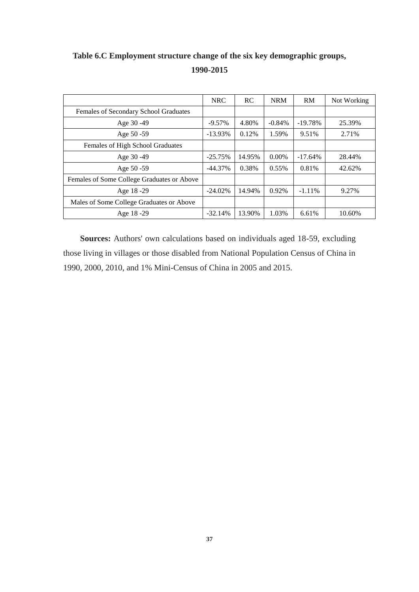# **Table 6.C Employment structure change of the six key demographic groups, 1990-2015**

|                                            | <b>NRC</b> | <b>RC</b> | <b>NRM</b> | RM        | Not Working |
|--------------------------------------------|------------|-----------|------------|-----------|-------------|
| Females of Secondary School Graduates      |            |           |            |           |             |
| Age 30 - 49                                | $-9.57\%$  | 4.80%     | $-0.84\%$  | $-19.78%$ | 25.39%      |
| Age $50 - 59$                              | $-13.93\%$ | 0.12%     | 1.59%      | 9.51%     | 2.71%       |
| Females of High School Graduates           |            |           |            |           |             |
| Age 30 - 49                                | $-25.75%$  | 14.95%    | $0.00\%$   | $-17.64%$ | 28.44%      |
| Age $50 - 59$                              | $-44.37%$  | 0.38%     | 0.55%      | 0.81%     | 42.62%      |
| Females of Some College Graduates or Above |            |           |            |           |             |
| Age 18 - 29                                | $-24.02\%$ | 14.94%    | $0.92\%$   | $-1.11\%$ | 9.27%       |
| Males of Some College Graduates or Above   |            |           |            |           |             |
| Age 18 - 29                                | $-32.14%$  | 13.90%    | 1.03%      | 6.61%     | 10.60%      |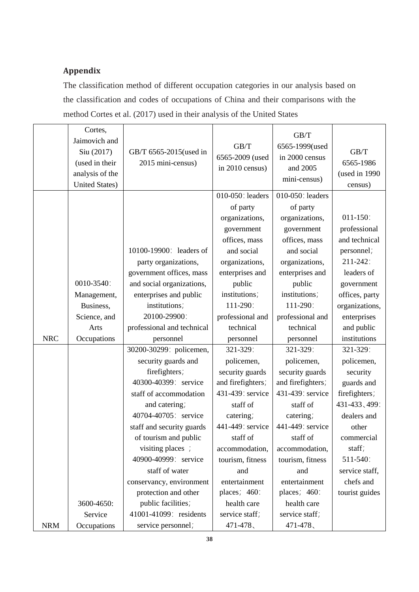### **Appendix**

The classification method of different occupation categories in our analysis based on the classification and codes of occupations of China and their comparisons with the method Cortes et al. (2017) used in their analysis of the United States

|            | Cortes,<br>Jaimovich and<br>Siu (2017)<br>(used in their<br>analysis of the<br><b>United States)</b> | GB/T 6565-2015(used in<br>2015 mini-census) | GB/T<br>6565-2009 (used<br>in 2010 census) | GB/T<br>6565-1999(used<br>in 2000 census<br>and 2005<br>mini-census) | GB/T<br>6565-1986<br>(used in 1990<br>census) |
|------------|------------------------------------------------------------------------------------------------------|---------------------------------------------|--------------------------------------------|----------------------------------------------------------------------|-----------------------------------------------|
|            |                                                                                                      |                                             | 010-050: leaders                           | 010-050: leaders                                                     |                                               |
|            |                                                                                                      |                                             | of party                                   | of party                                                             |                                               |
|            |                                                                                                      |                                             | organizations,                             | organizations,                                                       | $011 - 150$ :                                 |
|            |                                                                                                      |                                             | government                                 | government                                                           | professional                                  |
|            |                                                                                                      |                                             | offices, mass                              | offices, mass                                                        | and technical                                 |
|            |                                                                                                      | 10100-19900: leaders of                     | and social                                 | and social                                                           | personnel;                                    |
|            |                                                                                                      | party organizations,                        | organizations,                             | organizations,                                                       | 211-242:                                      |
|            |                                                                                                      | government offices, mass                    | enterprises and                            | enterprises and                                                      | leaders of                                    |
|            | 0010-3540:                                                                                           | and social organizations,                   | public                                     | public                                                               | government                                    |
|            | Management,                                                                                          | enterprises and public                      | institutions;                              | institutions;                                                        | offices, party                                |
|            | Business,                                                                                            | institutions;                               | 111-290:                                   | 111-290:                                                             | organizations,                                |
|            | Science, and                                                                                         | 20100-29900:                                | professional and                           | professional and                                                     | enterprises                                   |
|            | Arts                                                                                                 | professional and technical                  | technical                                  | technical                                                            | and public                                    |
| <b>NRC</b> | Occupations                                                                                          | personnel                                   | personnel                                  | personnel                                                            | institutions                                  |
|            |                                                                                                      | 30200-30299: policemen,                     | 321-329:                                   | 321-329:                                                             | 321-329:                                      |
|            |                                                                                                      | security guards and                         | policemen,                                 | policemen,                                                           | policemen,                                    |
|            |                                                                                                      | firefighters;                               | security guards                            | security guards                                                      | security                                      |
|            |                                                                                                      | 40300-40399: service                        | and firefighters;                          | and firefighters;                                                    | guards and                                    |
|            |                                                                                                      | staff of accommodation                      | 431-439: service                           | 431-439: service                                                     | firefighters;                                 |
|            |                                                                                                      | and catering;                               | staff of                                   | staff of                                                             | 431-433, 499:                                 |
|            |                                                                                                      | 40704-40705: service                        | catering;                                  | catering;                                                            | dealers and                                   |
|            |                                                                                                      | staff and security guards                   | 441-449: service                           | 441-449: service                                                     | other                                         |
|            |                                                                                                      | of tourism and public                       | staff of                                   | staff of                                                             | commercial                                    |
|            |                                                                                                      | visiting places ;                           | accommodation,                             | accommodation,                                                       | staff;                                        |
|            |                                                                                                      | 40900-40999: service                        | tourism, fitness                           | tourism, fitness                                                     | 511-540:                                      |
|            |                                                                                                      | staff of water                              | and                                        | and                                                                  | service staff,                                |
|            |                                                                                                      | conservancy, environment                    | entertainment                              | entertainment                                                        | chefs and                                     |
|            |                                                                                                      | protection and other                        | places; 460:                               | places; $460$ :                                                      | tourist guides                                |
|            | 3600-4650:                                                                                           | public facilities;                          | health care                                | health care                                                          |                                               |
|            | Service                                                                                              | 41001-41099: residents                      | service staff;                             | service staff;                                                       |                                               |
| <b>NRM</b> | Occupations                                                                                          | service personnel;                          | 471-478、                                   | 471-478、                                                             |                                               |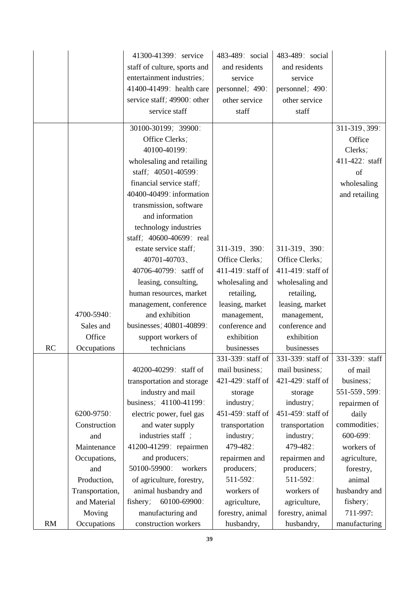|    |                 | 41300-41399: service         | 483-489: social   | 483-489: social   |                |
|----|-----------------|------------------------------|-------------------|-------------------|----------------|
|    |                 | staff of culture, sports and | and residents     | and residents     |                |
|    |                 | entertainment industries;    | service           | service           |                |
|    |                 | 41400-41499: health care     | personnel; 490:   | personnel; 490:   |                |
|    |                 | service staff; 49900: other  | other service     | other service     |                |
|    |                 | service staff                | staff             | staff             |                |
|    |                 |                              |                   |                   |                |
|    |                 | 30100-30199; 39900:          |                   |                   | 311-319, 399:  |
|    |                 | Office Clerks;               |                   |                   | Office         |
|    |                 | 40100-40199:                 |                   |                   | Clerks;        |
|    |                 | wholesaling and retailing    |                   |                   | 411-422: staff |
|    |                 | staff; 40501-40599:          |                   |                   | of             |
|    |                 | financial service staff;     |                   |                   | wholesaling    |
|    |                 | 40400-40499: information     |                   |                   | and retailing  |
|    |                 | transmission, software       |                   |                   |                |
|    |                 | and information              |                   |                   |                |
|    |                 | technology industries        |                   |                   |                |
|    |                 | staff; 40600-40699: real     |                   |                   |                |
|    |                 | estate service staff;        | 311-319, 390:     | 311-319, 390:     |                |
|    |                 | 40701-40703、                 | Office Clerks;    | Office Clerks;    |                |
|    |                 | 40706-40799: satff of        | 411-419: staff of | 411-419: staff of |                |
|    |                 | leasing, consulting,         | wholesaling and   | wholesaling and   |                |
|    |                 | human resources, market      | retailing,        | retailing,        |                |
|    |                 | management, conference       | leasing, market   | leasing, market   |                |
|    | 4700-5940:      | and exhibition               | management,       | management,       |                |
|    | Sales and       | businesses; 40801-40899:     | conference and    | conference and    |                |
|    | Office          | support workers of           | exhibition        | exhibition        |                |
| RC | Occupations     | technicians                  | businesses        | businesses        |                |
|    |                 |                              | 331-339: staff of | 331-339: staff of | 331-339: staff |
|    |                 | 40200-40299: staff of        | mail business;    | mail business;    | of mail        |
|    |                 | transportation and storage   | 421-429: staff of | 421-429: staff of | business;      |
|    |                 | industry and mail            | storage           | storage           | 551-559, 599:  |
|    |                 | business; 41100-41199:       | industry;         | industry;         | repairmen of   |
|    | 6200-9750:      | electric power, fuel gas     | 451-459: staff of | 451-459: staff of | daily          |
|    | Construction    | and water supply             | transportation    | transportation    | commodities;   |
|    | and             | industries staff;            | industry;         | industry;         | 600-699:       |
|    | Maintenance     | 41200-41299: repairmen       | 479-482:          | 479-482:          | workers of     |
|    | Occupations,    | and producers;               | repairmen and     | repairmen and     | agriculture,   |
|    | and             | 50100-59900:<br>workers      | producers;        | producers;        | forestry,      |
|    | Production,     | of agriculture, forestry,    | 511-592:          | 511-592:          | animal         |
|    | Transportation, | animal husbandry and         | workers of        | workers of        | husbandry and  |
|    | and Material    | fishery;<br>60100-69900:     | agriculture,      | agriculture,      | fishery;       |
|    | Moving          | manufacturing and            | forestry, animal  | forestry, animal  | 711-997:       |
| RM | Occupations     | construction workers         | husbandry,        | husbandry,        | manufacturing  |